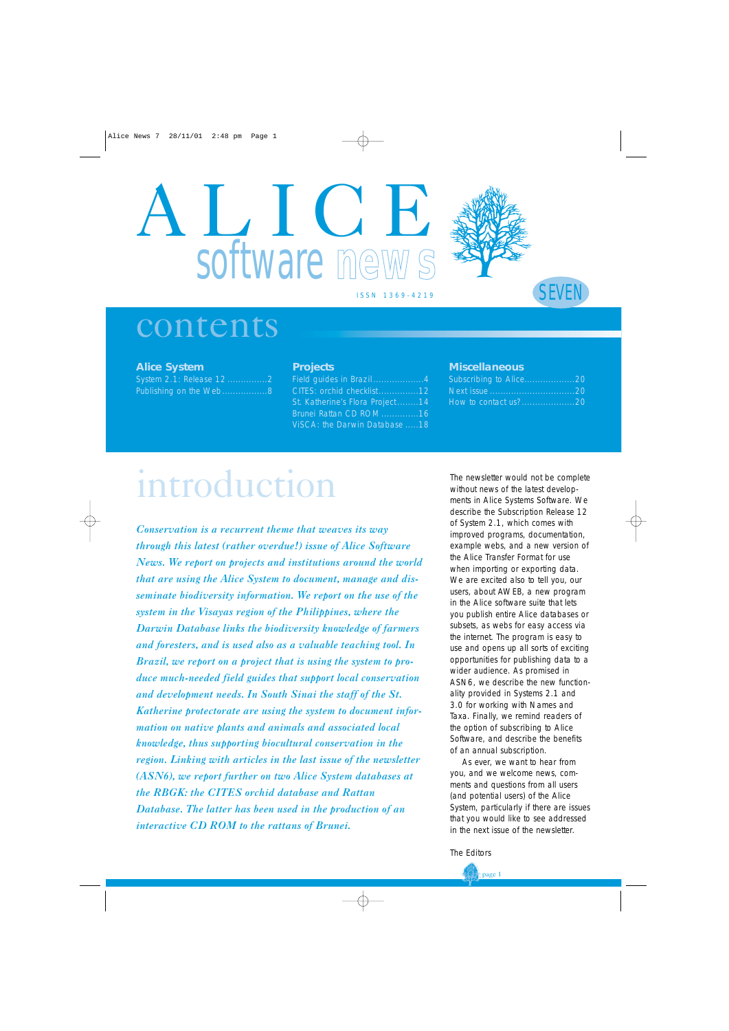# LICT. software mew



#### ISSN 1369-4219

### SEVEN

### contents

#### **Alice System**

System 2.1: Release 12 ................2 Publishing on the Web.................8

#### **Projects**

Field guides in Brazil...................4 CITES: orchid checklist...............12 St. Katherine's Flora Project ........14 Brunei Rattan CD ROM..............16 ViSCA: the Darwin Database .....18

#### **Miscellaneous**

| Subscribing to Alice20 |  |
|------------------------|--|
|                        |  |
| How to contact us?20   |  |

## introduction

*Conservation is a recurrent theme that weaves its way through this latest (rather overdue!) issue of Alice Software News. We report on projects and institutions around the world that are using the Alice System to document, manage and disseminate biodiversity information. We report on the use of the system in the Visayas region of the Philippines, where the Darwin Database links the biodiversity knowledge of farmers and foresters, and is used also as a valuable teaching tool. In Brazil, we report on a project that is using the system to produce much-needed field guides that support local conservation and development needs. In South Sinai the staff of the St. Katherine protectorate are using the system to document information on native plants and animals and associated local knowledge, thus supporting biocultural conservation in the region. Linking with articles in the last issue of the newsletter (ASN6), we report further on two Alice System databases at the RBGK: the CITES orchid database and Rattan Database. The latter has been used in the production of an interactive CD ROM to the rattans of Brunei.*

The newsletter would not be complete without news of the latest developments in Alice Systems Software. We describe the Subscription Release 12 of System 2.1, which comes with improved programs, documentation, example webs, and a new version of the Alice Transfer Format for use when importing or exporting data. We are excited also to tell you, our users, about AWEB, a new program in the Alice software suite that lets you publish entire Alice databases or subsets, as webs for easy access via the internet. The program is easy to use and opens up all sorts of exciting opportunities for publishing data to a wider audience. As promised in ASN6, we describe the new functionality provided in Systems 2.1 and 3.0 for working with Names and Taxa. Finally, we remind readers of the option of subscribing to Alice Software, and describe the benefits of an annual subscription.

As ever, we want to hear from you, and we welcome news, comments and questions from all users (and potential users) of the Alice System, particularly if there are issues that you would like to see addressed in the next issue of the newsletter.

*The Editors*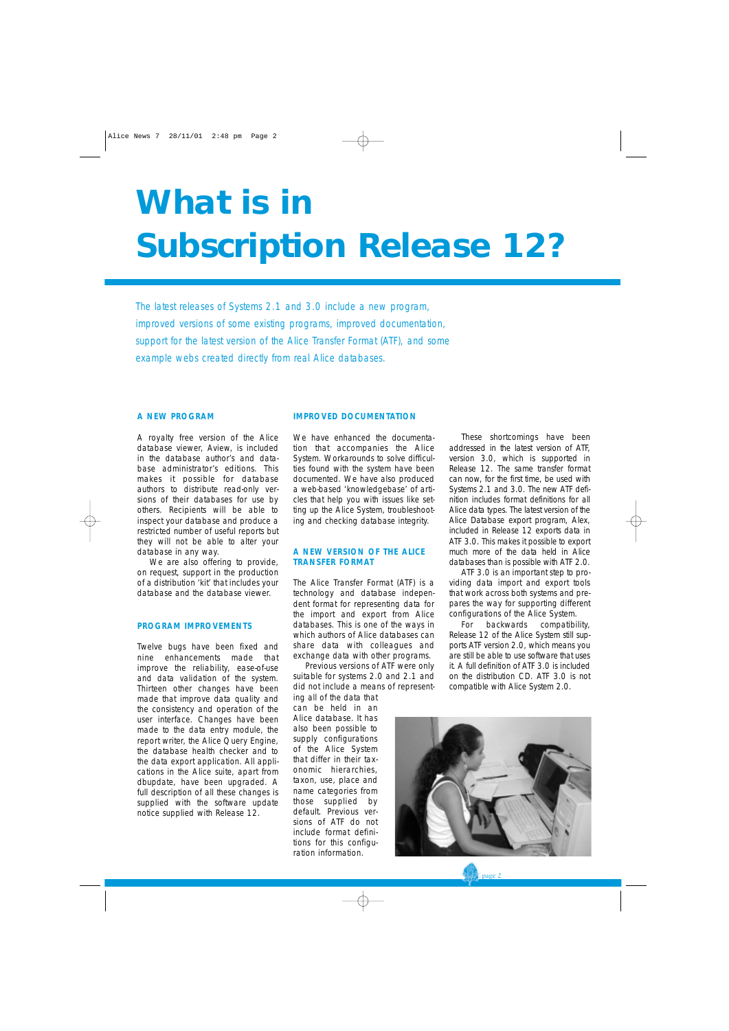## **What is in Subscription Release 12?**

*The latest releases of Systems 2.1 and 3.0 include a new program, improved versions of some existing programs, improved documentation, support for the latest version of the Alice Transfer Format (ATF), and some example webs created directly from real Alice databases.*

#### **A NEW PROGRAM**

A royalty free version of the Alice database viewer, Aview, is included in the database author's and database administrator's editions. This makes it possible for database authors to distribute read-only versions of their databases for use by others. Recipients will be able to inspect your database and produce a restricted number of useful reports but they will not be able to alter your database in any way.

We are also offering to provide, on request, support in the production of a distribution 'kit' that includes your database and the database viewer.

#### **PROGRAM IMPROVEMENTS**

Twelve bugs have been fixed and nine enhancements made that improve the reliability, ease-of-use and data validation of the system. Thirteen other changes have been made that improve data quality and the consistency and operation of the user interface. Changes have been made to the data entry module, the report writer, the Alice Query Engine, the database health checker and to the data export application. All applications in the Alice suite, apart from dbupdate, have been upgraded. A full description of all these changes is supplied with the software update notice supplied with Release 12.

#### **IMPROVED DOCUMENTATION**

We have enhanced the documentation that accompanies the Alice System. Workarounds to solve difficulties found with the system have been documented. We have also produced a web-based 'knowledgebase' of articles that help you with issues like setting up the Alice System, troubleshooting and checking database integrity.

#### **A NEW VERSION OF THE ALICE TRANSFER FORMAT**

The Alice Transfer Format (ATF) is a technology and database independent format for representing data for the import and export from Alice databases. This is one of the ways in which authors of Alice databases can share data with colleagues and exchange data with other programs.

Previous versions of ATF were only suitable for systems 2.0 and 2.1 and did not include a means of represent-

ing all of the data that can be held in an Alice database. It has also been possible to supply configurations of the Alice System that differ in their taxonomic hierarchies, taxon, use, place and name categories from those supplied by default. Previous versions of ATF do not include format definitions for this configuration information.

These shortcomings have been addressed in the latest version of ATF, version 3.0, which is supported in Release 12. The same transfer format can now, for the first time, be used with Systems 2.1 and 3.0. The new ATF definition includes format definitions for all Alice data types. The latest version of the Alice Database export program, Alex, included in Release 12 exports data in ATF 3.0. This makes it possible to export much more of the data held in Alice databases than is possible with ATF 2.0.

ATF 3.0 is an important step to providing data import and export tools that work across both systems and prepares the way for supporting different configurations of the Alice System.

For backwards compatibility, Release 12 of the Alice System still supports ATF version 2.0, which means you are still be able to use software that uses it. A full definition of ATF 3.0 is included on the distribution CD. ATF 3.0 is not compatible with Alice System 2.0.

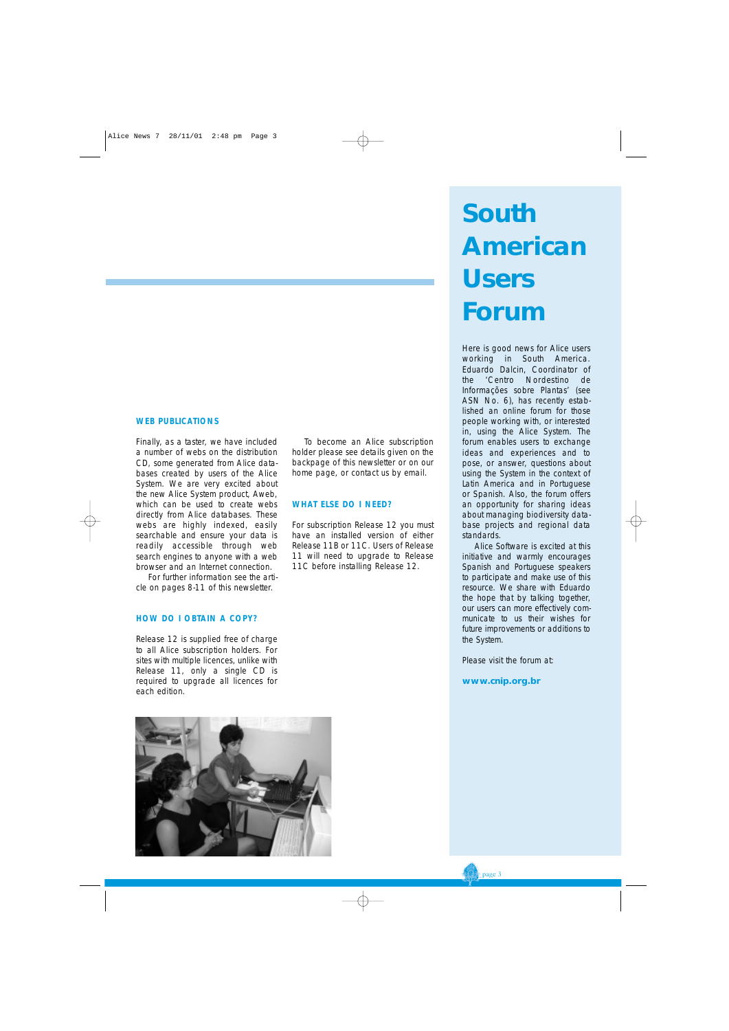#### **WEB PUBLICATIONS**

Finally, as a taster, we have included a number of webs on the distribution CD, some generated from Alice databases created by users of the Alice System. We are very excited about the new Alice System product, Aweb, which can be used to create webs directly from Alice databases. These webs are highly indexed, easily searchable and ensure your data is readily accessible through web search engines to anyone with a web browser and an Internet connection.

For further information see the article on pages 8-11 of this newsletter.

#### **HOW DO I OBTAIN A COPY?**

Release 12 is supplied free of charge to all Alice subscription holders. For sites with multiple licences, unlike with Release 11, only a single CD is required to upgrade all licences for each edition.



To become an Alice subscription holder please see details given on the backpage of this newsletter or on our home page, or contact us by email.

#### **WHAT ELSE DO I NEED?**

For subscription Release 12 you must have an installed version of either Release 11B or 11C. Users of Release 11 will need to upgrade to Release 11C before installing Release 12.

### **South American Users Forum**

Here is good news for Alice users working in South America. Eduardo Dalcin, Coordinator of the 'Centro Nordestino de Informações sobre Plantas' (see ASN No. 6), has recently established an online forum for those people working with, or interested in, using the Alice System. The forum enables users to exchange ideas and experiences and to pose, or answer, questions about using the System in the context of Latin America and in Portuguese or Spanish. Also, the forum offers an opportunity for sharing ideas about managing biodiversity database projects and regional data standards.

Alice Software is excited at this initiative and warmly encourages Spanish and Portuguese speakers to participate and make use of this resource. We share with Eduardo the hope that by talking together, our users can more effectively communicate to us their wishes for future improvements or additions to the System.

Please visit the forum at:

**www.cnip.org.br**

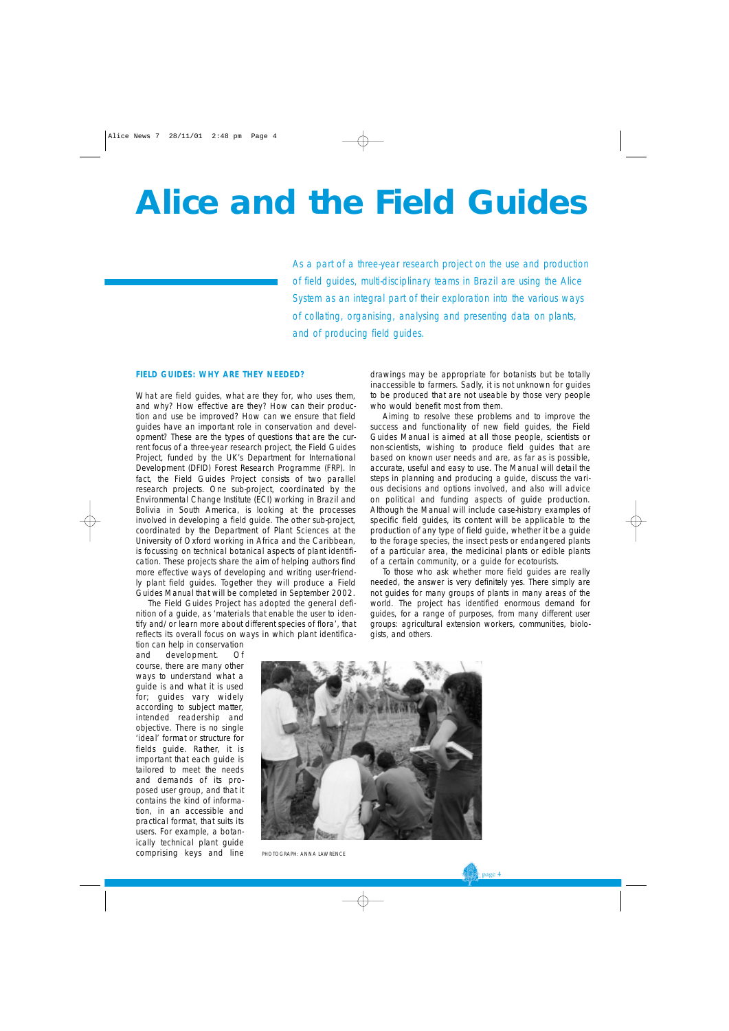### **Alice and the Field Guides**

*As a part of a three-year research project on the use and production of field guides, multi-disciplinary teams in Brazil are using the Alice System as an integral part of their exploration into the various ways of collating, organising, analysing and presenting data on plants, and of producing field guides.* 

#### **FIELD GUIDES: WHY ARE THEY NEEDED?**

What are field guides, what are they for, who uses them, and why? How effective are they? How can their production and use be improved? How can we ensure that field guides have an important role in conservation and development? These are the types of questions that are the current focus of a three-year research project, the Field Guides Project, funded by the UK's Department for International Development (DFID) Forest Research Programme (FRP). In fact, the Field Guides Project consists of two parallel research projects. One sub-project, coordinated by the Environmental Change Institute (ECI) working in Brazil and Bolivia in South America, is looking at the processes involved in developing a field guide. The other sub-project, coordinated by the Department of Plant Sciences at the University of Oxford working in Africa and the Caribbean, is focussing on technical botanical aspects of plant identification. These projects share the aim of helping authors find more effective ways of developing and writing user-friendly plant field guides. Together they will produce a Field Guides Manual that will be completed in September 2002.

The Field Guides Project has adopted the general definition of a guide, as 'materials that enable the user to identify and/or learn more about different species of flora', that reflects its overall focus on ways in which plant identificadrawings may be appropriate for botanists but be totally inaccessible to farmers. Sadly, it is not unknown for guides to be produced that are not useable by those very people who would benefit most from them.

Aiming to resolve these problems and to improve the success and functionality of new field guides, the Field Guides Manual is aimed at all those people, scientists or non-scientists, wishing to produce field guides that are based on known user needs and are, as far as is possible, accurate, useful and easy to use. The Manual will detail the steps in planning and producing a guide, discuss the various decisions and options involved, and also will advice on political and funding aspects of guide production. Although the Manual will include case-history examples of specific field guides, its content will be applicable to the production of any type of field guide, whether it be a guide to the forage species, the insect pests or endangered plants of a particular area, the medicinal plants or edible plants of a certain community, or a guide for ecotourists.

To those who ask whether more field guides are really needed, the answer is very definitely yes. There simply are not guides for many groups of plants in many areas of the world. The project has identified enormous demand for guides, for a range of purposes, from many different user groups: agricultural extension workers, communities, biologists, and others.

tion can help in conservation and development. Of course, there are many other ways to understand what a guide is and what it is used for; guides vary widely according to subject matter, intended readership and objective. There is no single 'ideal' format or structure for fields guide. Rather, it is important that each guide is tailored to meet the needs and demands of its proposed user group, and that it contains the kind of information, in an accessible and practical format, that suits its users. For example, a botanically technical plant guide comprising keys and line



PHOTOGRAPH: ANNA LAWRENCE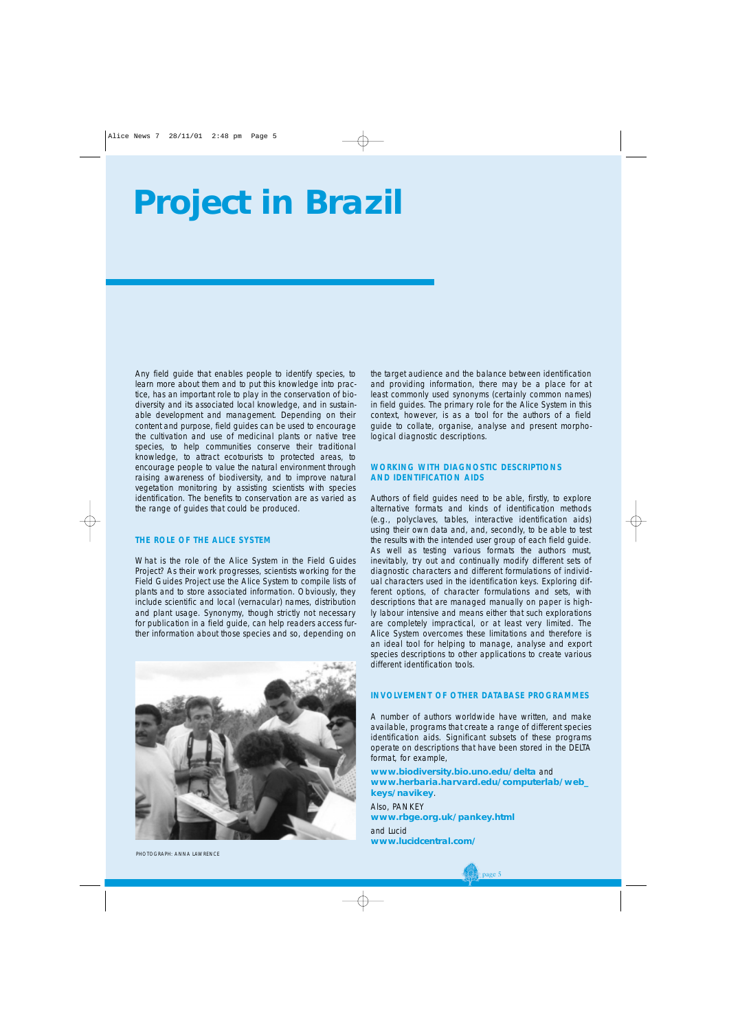### **Project in Brazil**

Any field guide that enables people to identify species, to learn more about them and to put this knowledge into practice, has an important role to play in the conservation of biodiversity and its associated local knowledge, and in sustainable development and management. Depending on their content and purpose, field guides can be used to encourage the cultivation and use of medicinal plants or native tree species, to help communities conserve their traditional knowledge, to attract ecotourists to protected areas, to encourage people to value the natural environment through raising awareness of biodiversity, and to improve natural vegetation monitoring by assisting scientists with species identification. The benefits to conservation are as varied as the range of guides that could be produced.

#### **THE ROLE OF THE ALICE SYSTEM**

What is the role of the Alice System in the Field Guides Project? As their work progresses, scientists working for the Field Guides Project use the Alice System to compile lists of plants and to store associated information. Obviously, they include scientific and local (vernacular) names, distribution and plant usage. Synonymy, though strictly not necessary for publication in a field guide, can help readers access further information about those species and so, depending on



PHOTOGRAPH: ANNA LAWRENCE

the target audience and the balance between identification and providing information, there may be a place for at least commonly used synonyms (certainly common names) in field guides. The primary role for the Alice System in this context, however, is as a tool for the authors of a field guide to collate, organise, analyse and present morphological diagnostic descriptions.

#### **WORKING WITH DIAGNOSTIC DESCRIPTIONS AND IDENTIFICATION AIDS**

Authors of field guides need to be able, firstly, to explore alternative formats and kinds of identification methods (e.g., polyclaves, tables, interactive identification aids) using their own data and, and, secondly, to be able to test the results with the intended user group of each field guide. As well as testing various formats the authors must, inevitably, try out and continually modify different sets of diagnostic characters and different formulations of individual characters used in the identification keys. Exploring different options, of character formulations and sets, with descriptions that are managed manually on paper is highly labour intensive and means either that such explorations are completely impractical, or at least very limited. The Alice System overcomes these limitations and therefore is an ideal tool for helping to manage, analyse and export species descriptions to other applications to create various different identification tools.

#### **INVOLVEMENT OF OTHER DATABASE PROGRAMMES**

A number of authors worldwide have written, and make available, programs that create a range of different species identification aids. Significant subsets of these programs operate on descriptions that have been stored in the DELTA format, for example,

**www.biodiversity.bio.uno.edu/delta** and **www.herbaria.harvard.edu/computerlab/web\_ keys/navikey**.

Also, PANKEY **www.rbge.org.uk/pankey.html** and Lucid

**www.lucidcentral.com/**

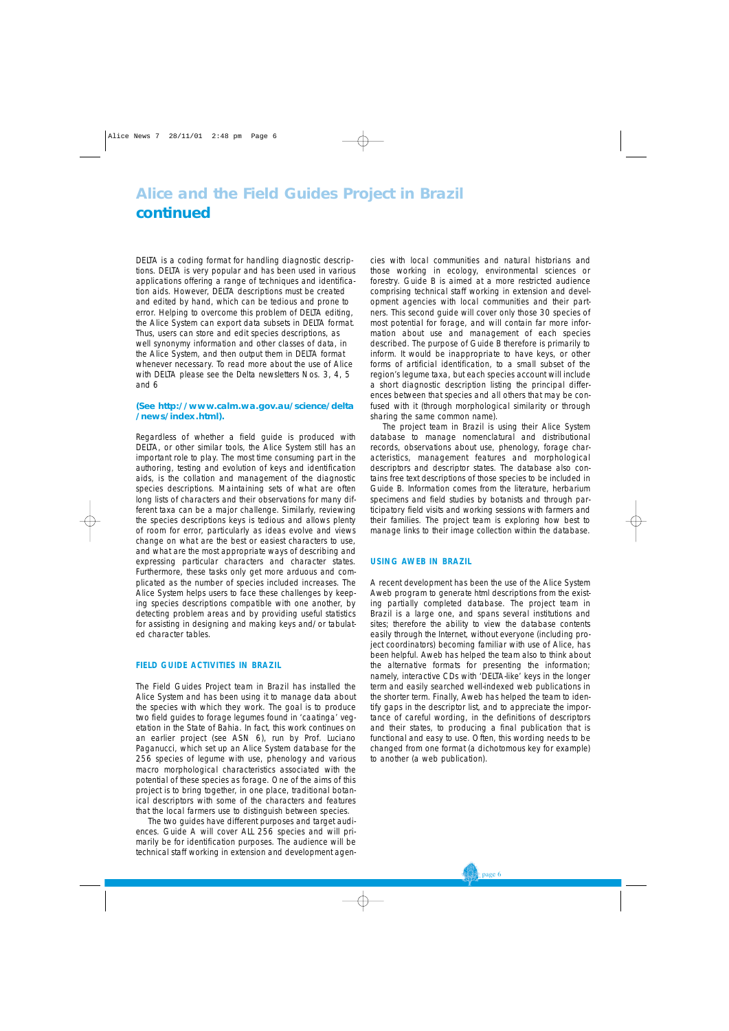#### **Alice and the Field Guides Project in Brazil continued**

DELTA is a coding format for handling diagnostic descriptions. DELTA is very popular and has been used in various applications offering a range of techniques and identification aids. However, DELTA descriptions must be created and edited by hand, which can be tedious and prone to error. Helping to overcome this problem of DELTA editing, the Alice System can export data subsets in DELTA format. Thus, users can store and edit species descriptions, as well synonymy information and other classes of data, in the Alice System, and then output them in DELTA format whenever necessary. To read more about the use of Alice with DELTA please see the Delta newsletters Nos. 3, 4, 5 and 6

#### **(See http://www.calm.wa.gov.au/science/delta /news/index.html).**

Regardless of whether a field guide is produced with DELTA, or other similar tools, the Alice System still has an important role to play. The most time consuming part in the authoring, testing and evolution of keys and identification aids, is the collation and management of the diagnostic species descriptions. Maintaining sets of what are often long lists of characters and their observations for many different taxa can be a major challenge. Similarly, reviewing the species descriptions keys is tedious and allows plenty of room for error, particularly as ideas evolve and views change on what are the best or easiest characters to use, and what are the most appropriate ways of describing and expressing particular characters and character states. Furthermore, these tasks only get more arduous and complicated as the number of species included increases. The Alice System helps users to face these challenges by keeping species descriptions compatible with one another, by detecting problem areas and by providing useful statistics for assisting in designing and making keys and/or tabulated character tables.

#### **FIELD GUIDE ACTIVITIES IN BRAZIL**

The Field Guides Project team in Brazil has installed the Alice System and has been using it to manage data about the species with which they work. The goal is to produce two field guides to forage legumes found in 'caatinga' vegetation in the State of Bahia. In fact, this work continues on an earlier project (see ASN 6), run by Prof. Luciano Paganucci, which set up an Alice System database for the 256 species of legume with use, phenology and various macro morphological characteristics associated with the potential of these species as forage. One of the aims of this project is to bring together, in one place, traditional botanical descriptors with some of the characters and features that the local farmers use to distinguish between species.

The two guides have different purposes and target audiences. Guide A will cover ALL 256 species and will primarily be for identification purposes. The audience will be technical staff working in extension and development agencies with local communities and natural historians and those working in ecology, environmental sciences or forestry. Guide B is aimed at a more restricted audience comprising technical staff working in extension and development agencies with local communities and their partners. This second guide will cover only those 30 species of most potential for forage, and will contain far more information about use and management of each species described. The purpose of Guide B therefore is primarily to inform. It would be inappropriate to have keys, or other forms of artificial identification, to a small subset of the region's legume taxa, but each species account will include a short diagnostic description listing the principal differences between that species and all others that may be confused with it (through morphological similarity or through sharing the same common name).

The project team in Brazil is using their Alice System database to manage nomenclatural and distributional records, observations about use, phenology, forage characteristics, management features and morphological descriptors and descriptor states. The database also contains free text descriptions of those species to be included in Guide B. Information comes from the literature, herbarium specimens and field studies by botanists and through participatory field visits and working sessions with farmers and their families. The project team is exploring how best to manage links to their image collection within the database.

#### **USING AWEB IN BRAZIL**

A recent development has been the use of the Alice System Aweb program to generate html descriptions from the existing partially completed database. The project team in Brazil is a large one, and spans several institutions and sites; therefore the ability to view the database contents easily through the Internet, without everyone (including project coordinators) becoming familiar with use of Alice, has been helpful. Aweb has helped the team also to think about the alternative formats for presenting the information; namely, interactive CDs with 'DELTA-like' keys in the longer term and easily searched well-indexed web publications in the shorter term. Finally, Aweb has helped the team to identify gaps in the descriptor list, and to appreciate the importance of careful wording, in the definitions of descriptors and their states, to producing a final publication that is functional and easy to use. Often, this wording needs to be changed from one format (a dichotomous key for example) to another (a web publication).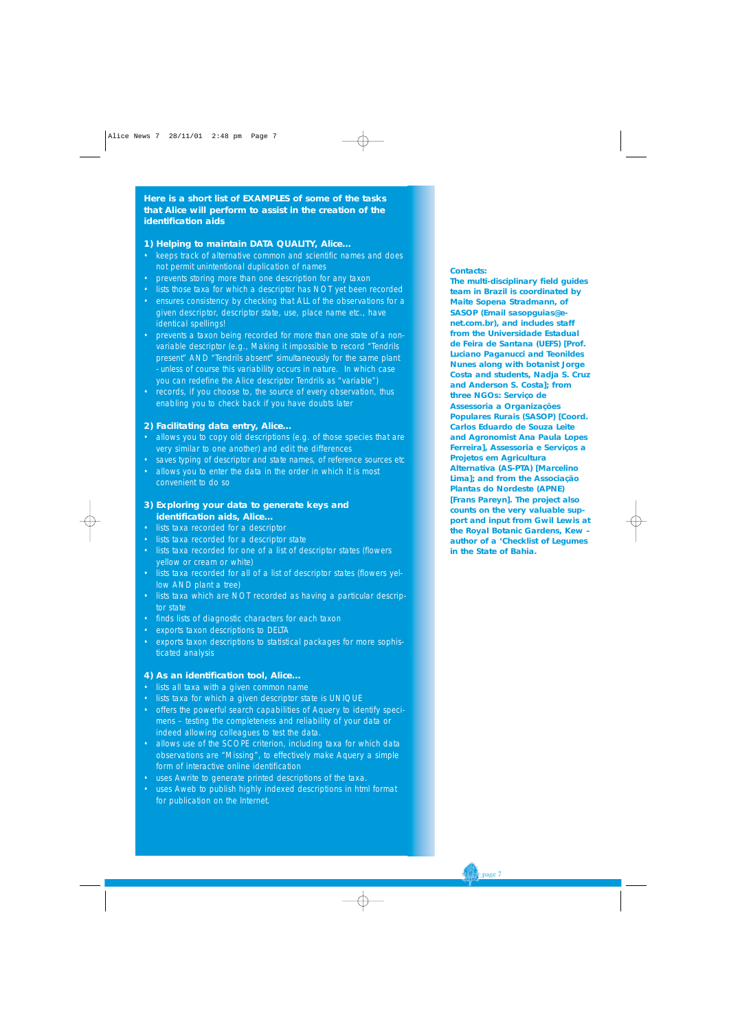**Here is a short list of EXAMPLES of some of the tasks that Alice will perform to assist in the creation of the identification aids**

#### **1) Helping to maintain DATA QUALITY, Alice…**

- keeps track of alternative common and scientific names and does not permit unintentional duplication of names
- prevents storing more than one description for any taxon
- lists those taxa for which a descriptor has NOT yet been recorded
- ensures consistency by checking that ALL of the observations for a given descriptor, descriptor state, use, place name etc., have identical spellings!
- prevents a taxon being recorded for more than one state of a nonvariable descriptor (e.g., Making it impossible to record "Tendrils present" AND "Tendrils absent" simultaneously for the same plant - unless of course this variability occurs in nature. In which case you can redefine the Alice descriptor Tendrils as "variable")
- records, if you choose to, the source of every observation, thus enabling you to check back if you have doubts later

#### **2) Facilitating data entry, Alice…**

- allows you to copy old descriptions (e.g. of those species that are very similar to one another) and edit the differences
- saves typing of descriptor and state names, of reference sources etc
- allows you to enter the data in the order in which it is most convenient to do so

#### **3) Exploring your data to generate keys and identification aids, Alice…**

- lists taxa recorded for a descriptor
- lists taxa recorded for a descriptor state
- lists taxa recorded for one of a list of descriptor states (flowers yellow or cream or white)
- lists taxa recorded for all of a list of descriptor states (flowers yellow AND plant a tree)
- lists taxa which are NOT recorded as having a particular descriptor state
- finds lists of diagnostic characters for each taxon
- exports taxon descriptions to DELTA
- exports taxon descriptions to statistical packages for more sophisticated analysis

#### **4) As an identification tool, Alice…**

- lists all taxa with a given common name
- lists taxa for which a given descriptor state is UNIQUE
- offers the powerful search capabilities of Aquery to identify specimens – testing the completeness and reliability of your data or indeed allowing colleagues to test the data.
- allows use of the SCOPE criterion, including taxa for which data observations are "Missing", to effectively make Aquery a simple form of interactive online identification
- uses Awrite to generate printed descriptions of the taxa.
- uses Aweb to publish highly indexed descriptions in html format for publication on the Internet.

#### **Contacts:**

**The multi-disciplinary field guides team in Brazil is coordinated by Maite Sopena Stradmann, of SASOP (Email sasopguias@enet.com.br), and includes staff from the Universidade Estadual de Feira de Santana (UEFS) [Prof. Luciano Paganucci and Teonildes Nunes along with botanist Jorge Costa and students, Nadja S. Cruz and Anderson S. Costa]; from three NGOs: Serviço de Assessoria a Organizações Populares Rurais (SASOP) [Coord. Carlos Eduardo de Souza Leite and Agronomist Ana Paula Lopes Ferreira], Assessoria e Serviços a Projetos em Agricultura Alternativa (AS-PTA) [Marcelino Lima]; and from the Associação Plantas do Nordeste (APNE) [Frans Pareyn]. The project also counts on the very valuable support and input from Gwil Lewis at the Royal Botanic Gardens, Kew – author of a 'Checklist of Legumes in the State of Bahia.**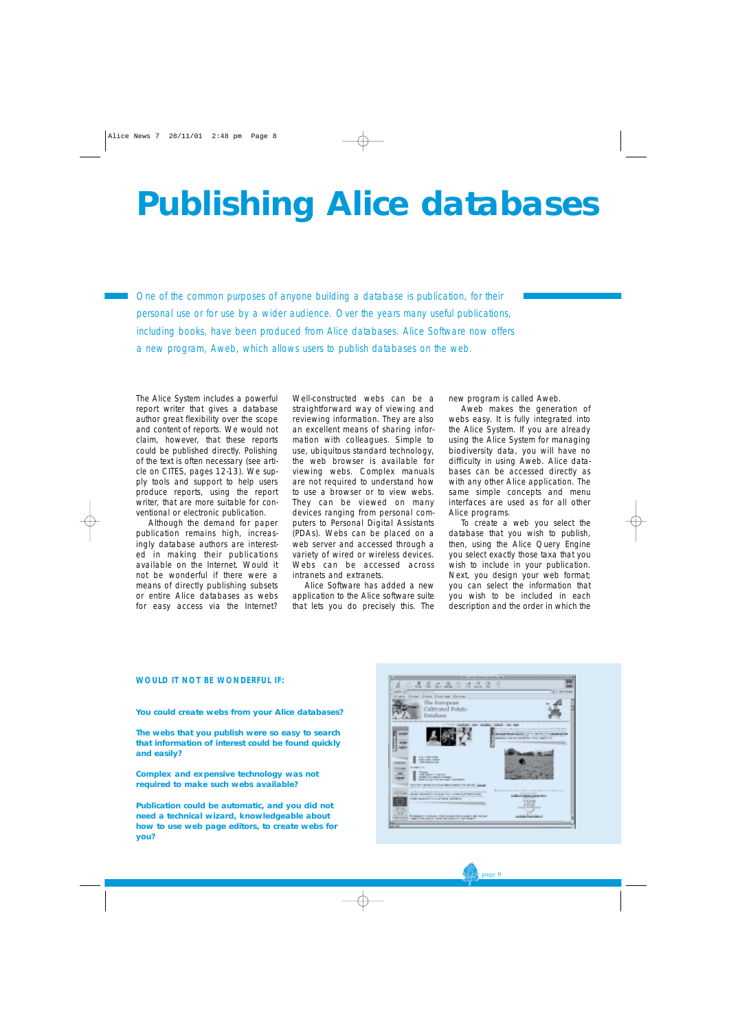### **Publishing Alice databases**

*One of the common purposes of anyone building a database is publication, for their personal use or for use by a wider audience. Over the years many useful publications, including books, have been produced from Alice databases. Alice Software now offers a new program, Aweb, which allows users to publish databases on the web.*

The Alice System includes a powerful report writer that gives a database author great flexibility over the scope and content of reports. We would not claim, however, that these reports could be published directly. Polishing of the text is often necessary (see article on CITES, pages 12-13). We supply tools and support to help users produce reports, using the report writer, that are more suitable for conventional or electronic publication.

Although the demand for paper publication remains high, increasingly database authors are interested in making their publications available on the Internet. Would it not be wonderful if there were a means of directly publishing subsets or entire Alice databases as webs for easy access via the Internet?

Well-constructed webs can be a straightforward way of viewing and reviewing information. They are also an excellent means of sharing information with colleagues. Simple to use, ubiquitous standard technology, the web browser is available for viewing webs. Complex manuals are not required to understand how to use a browser or to view webs. They can be viewed on many devices ranging from personal computers to Personal Digital Assistants (PDAs). Webs can be placed on a web server and accessed through a variety of wired or wireless devices. Webs can be accessed across intranets and extranets.

Alice Software has added a new application to the Alice software suite that lets you do precisely this. The new program is called Aweb.

Aweb makes the generation of webs easy. It is fully integrated into the Alice System. If you are already using the Alice System for managing biodiversity data, you will have no difficulty in using Aweb. Alice databases can be accessed directly as with any other Alice application. The same simple concepts and menu interfaces are used as for all other Alice programs.

To create a web you select the database that you wish to publish, then, using the Alice Query Engine you select exactly those taxa that you wish to include in your publication. Next, you design your web format; you can select the information that you wish to be included in each description and the order in which the

#### **WOULD IT NOT BE WONDERFUL IF:**

**You could create webs from your Alice databases?**

**The webs that you publish were so easy to search that information of interest could be found quickly and easily?** 

**Complex and expensive technology was not required to make such webs available?**

**Publication could be automatic, and you did not need a technical wizard, knowledgeable about how to use web page editors, to create webs for you?** 



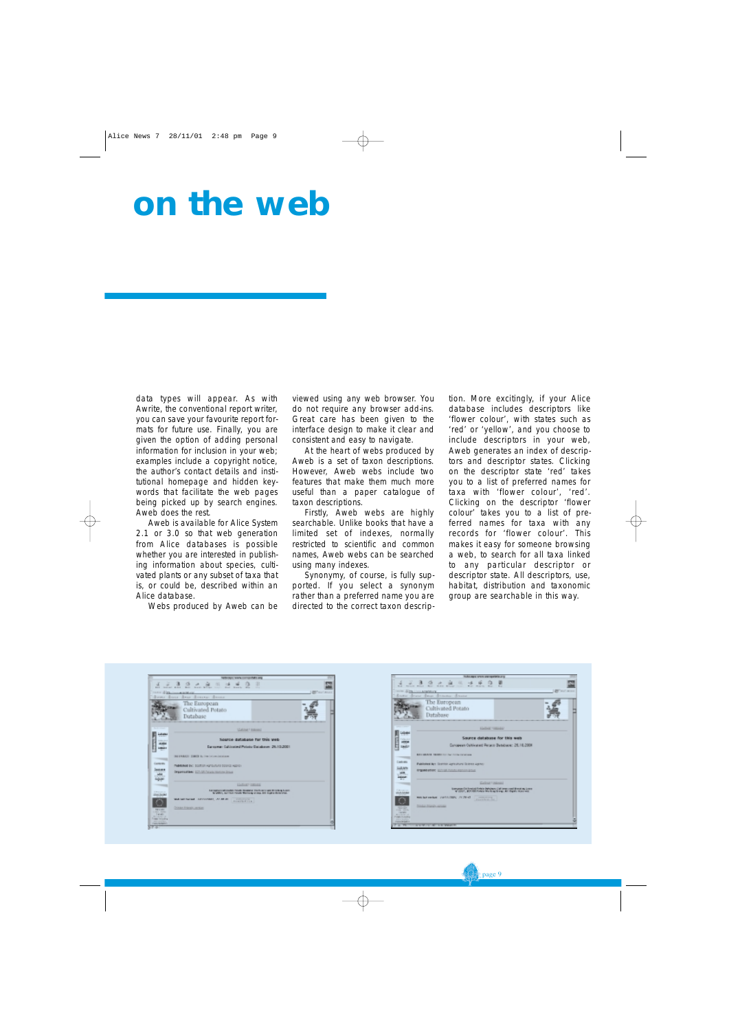### **on the web**

data types will appear. As with Awrite, the conventional report writer, you can save your favourite report formats for future use. Finally, you are given the option of adding personal information for inclusion in your web; examples include a copyright notice, the author's contact details and institutional homepage and hidden keywords that facilitate the web pages being picked up by search engines. Aweb does the rest.

Aweb is available for Alice System 2.1 or 3.0 so that web generation from Alice databases is possible whether you are interested in publishing information about species, cultivated plants or any subset of taxa that is, or could be, described within an Alice database.

Webs produced by Aweb can be

viewed using any web browser. You do not require any browser add-ins. Great care has been given to the interface design to make it clear and consistent and easy to navigate.

At the heart of webs produced by Aweb is a set of taxon descriptions. However, Aweb webs include two features that make them much more useful than a paper catalogue of taxon descriptions.

Firstly, Aweb webs are highly searchable. Unlike books that have a limited set of indexes, normally restricted to scientific and common names, Aweb webs can be searched using many indexes.

Synonymy, of course, is fully supported. If you select a synonym rather than a preferred name you are directed to the correct taxon description. More excitingly, if your Alice database includes descriptors like 'flower colour', with states such as 'red' or 'yellow', and you choose to include descriptors in your web, Aweb generates an index of descriptors and descriptor states. Clicking on the descriptor state 'red' takes you to a list of preferred names for taxa with 'flower colour', 'red'. Clicking on the descriptor 'flower colour' takes you to a list of preferred names for taxa with *any* records for 'flower colour'. This makes it easy for someone browsing a web, to search for all taxa linked to any particular descriptor or descriptor state. All descriptors, use, habitat, distribution and taxonomic group are searchable in this way.

|                                                        | WATER CONTINUES MES AND                                                                                        | ٠                     |
|--------------------------------------------------------|----------------------------------------------------------------------------------------------------------------|-----------------------|
| <b>AGE</b><br>Sweet Street                             | ш<br><b>SALAS RIGHT</b><br><b>Branch M</b><br><br>THE R. P. LEWIS CO., LANSING, MICH.<br>dear discourt discour | <b>All'</b> sur Lessa |
|                                                        |                                                                                                                |                       |
|                                                        | The European                                                                                                   |                       |
|                                                        | Cultivated Potato                                                                                              |                       |
|                                                        | Database                                                                                                       |                       |
|                                                        |                                                                                                                |                       |
|                                                        | <b>Gallege Listenesi</b>                                                                                       |                       |
|                                                        |                                                                                                                |                       |
|                                                        | Source database for this web-                                                                                  |                       |
|                                                        | European: Californiaed Potatio Databasen: 26,10,2001.                                                          |                       |
|                                                        | OLI & RABATIO   CAMETA & L. Trim Led a militaristication                                                       |                       |
| -                                                      |                                                                                                                |                       |
| Lamonto                                                | PARAMA DC SORON ASTOVATO SOUND ADDITI                                                                          |                       |
| 霊                                                      | Dragonauthen: ECA/2015/alank.html Street                                                                       |                       |
|                                                        |                                                                                                                |                       |
|                                                        | Listan court                                                                                                   |                       |
| <b>STATISTICS</b>                                      | <b>NEWSFILM WANT TOWN BURGLE THAT ALL RESIDENCE</b>                                                            |                       |
| - Joseph                                               | N JPPES, INCORP PAINT WAS LODGED AT LCCC.                                                                      |                       |
|                                                        | WATERT SECOND ARTWORDED, AT 88 UP.<br><b>STATISTICS</b>                                                        |                       |
| <b>TESTAS</b>                                          | Driving Hrigania parties                                                                                       |                       |
| Arrest Montes<br><b>Lating</b><br><b>British Corp.</b> |                                                                                                                |                       |
| <b>Transport controller pr</b><br>the committee.       |                                                                                                                |                       |
| <b>FIRSTMENT</b>                                       |                                                                                                                |                       |

| ÷<br>$m = 1$                                                                           | TURNING STATE AN EQUIPMENT<br><b>WAR BALE</b><br><b>AFEFE MELL</b><br><b>Marine</b><br><b>MAG</b><br><b>William Corp.</b><br><b>MAG</b><br><b>May</b>                                                                          |                      |
|----------------------------------------------------------------------------------------|--------------------------------------------------------------------------------------------------------------------------------------------------------------------------------------------------------------------------------|----------------------|
| Rousse                                                                                 | with Alberta Andrews<br>Savon Schooler<br><b>Service</b>                                                                                                                                                                       | <b>CO</b> Automobile |
|                                                                                        | The European<br>Cultivated Potato<br>Database                                                                                                                                                                                  |                      |
|                                                                                        | <b>ISSUED GROUND</b>                                                                                                                                                                                                           |                      |
|                                                                                        | Source database for this web<br>Surgeous Outstand Person Bandone: 26,16,2008                                                                                                                                                   |                      |
|                                                                                        | <b>BALLARIANS NEIGHBOLLS   SALL STAND CATALOGS</b>                                                                                                                                                                             |                      |
| Contratt                                                                               | Published by: Donnto agricultural Dolmes Agency                                                                                                                                                                                |                      |
|                                                                                        | <b>BYEAR ARMY STATES FULLY EDITERATES</b>                                                                                                                                                                                      |                      |
|                                                                                        | <b>Galloud Finlands</b>                                                                                                                                                                                                        |                      |
| <b>SALARA</b>                                                                          | ing and Chinese College and College and College and College and College and College and College and College and College and College and College and College and College and College and College and College and College and Co |                      |
|                                                                                        | Web last exclusion - (1973-3-1994), -741-791-43<br>permanent of the<br><b>RAKEWOOD</b>                                                                                                                                         |                      |
| <b>CALCULATION</b>                                                                     | Toyota Transfer and and                                                                                                                                                                                                        |                      |
| <b>Billian Avenue</b><br><b>CALCULARS</b><br><b>SERVICE</b><br><b>CARD AND COMPANY</b> |                                                                                                                                                                                                                                |                      |
|                                                                                        | <b>SCHOOL SERVICE STREET</b>                                                                                                                                                                                                   |                      |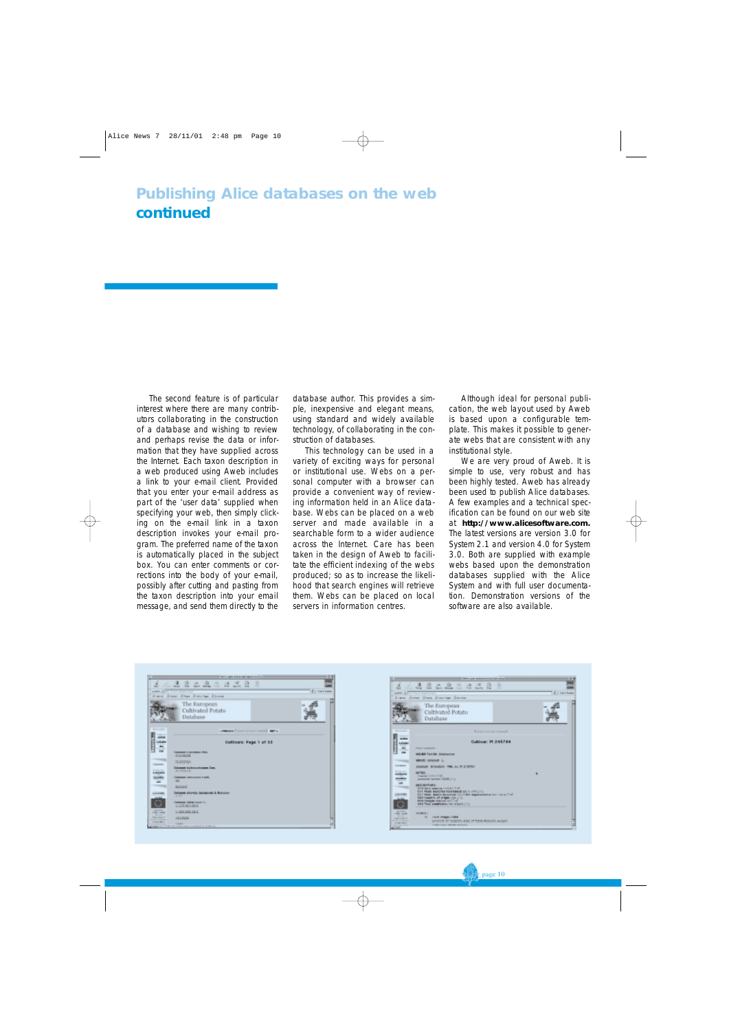The second feature is of particular interest where there are many contributors collaborating in the construction of a database and wishing to review and perhaps revise the data or information that they have supplied across the Internet. Each taxon description in a web produced using Aweb includes a link to your e-mail client. Provided that you enter your e-mail address as part of the 'user data' supplied when specifying your web, then simply clicking on the e-mail link in a taxon description invokes your e-mail program. The preferred name of the taxon is automatically placed in the subject box. You can enter comments or corrections into the body of your e-mail, possibly after cutting and pasting from the taxon description into your email message, and send them directly to the database author. This provides a simple, inexpensive and elegant means, using standard and widely available technology, of collaborating in the construction of databases.

This technology can be used in a variety of exciting ways for personal or institutional use. Webs on a personal computer with a browser can provide a convenient way of reviewing information held in an Alice database. Webs can be placed on a web server and made available in a searchable form to a wider audience across the Internet. Care has been taken in the design of Aweb to facilitate the efficient indexing of the webs produced; so as to increase the likelihood that search engines will retrieve them. Webs can be placed on local servers in information centres.

Although ideal for personal publication, the web layout used by Aweb is based upon a configurable template. This makes it possible to generate webs that are consistent with any institutional style.

We are very proud of Aweb. It is simple to use, very robust and has been highly tested. Aweb has already been used to publish Alice databases. A few examples and a technical specification can be found on our web site at **http://www.alicesoftware.com.** The latest versions are version 3.0 for System 2.1 and version 4.0 for System 3.0. Both are supplied with example webs based upon the demonstration databases supplied with the Alice System and with full user documentation. Demonstration versions of the software are also available.

| <b>WITH ARR ANNUARY REPUBLICANTS</b>                                                                                                                                                               |  |
|----------------------------------------------------------------------------------------------------------------------------------------------------------------------------------------------------|--|
| $\alpha$<br>ю<br>16<br>з.<br>۰<br>$-1$<br>$\rightarrow$<br>u<br>×<br><b>STORY PRIME</b><br><b>Sellen</b><br>tagers will be involv-<br><b>Argon</b><br><b>STAR</b><br>m<br>$-100$<br><b>SALATEL</b> |  |
| If a meritane<br>anger Allin from plants to                                                                                                                                                        |  |
| Energy draws draw drawings discount                                                                                                                                                                |  |
| The European                                                                                                                                                                                       |  |
| Cultivated Potato                                                                                                                                                                                  |  |
| Database                                                                                                                                                                                           |  |
| ALC: N.A.D.C                                                                                                                                                                                       |  |
| <b>LEBORE FINISH College I lease of 1987 to</b>                                                                                                                                                    |  |
| <b>COL</b><br>Cultivars: Page 1 of 55                                                                                                                                                              |  |
| --                                                                                                                                                                                                 |  |
| <b>Died</b><br><b>Talkman: Englishero Phil.</b><br>21218228                                                                                                                                        |  |
| <b>BLACKER</b><br><b>Cardwell</b> a                                                                                                                                                                |  |
| <b>Columnie I will as a changes Don.</b><br><b>Entrance</b><br><b>WEIGHT</b>                                                                                                                       |  |
| ---<br>Delenger demonstrat Emil.                                                                                                                                                                   |  |
| <b>AGE</b>                                                                                                                                                                                         |  |
| <b>BALLAGE</b><br><b>Telukom shumla Jessesson &amp; Bulunani</b><br>Listens                                                                                                                        |  |
| \$1,000                                                                                                                                                                                            |  |
| Schwarze Editor counts E.<br>1.119.021.00.0                                                                                                                                                        |  |
| ----<br>1, 580, 003, 28.5<br>1768-5448                                                                                                                                                             |  |
| 1.1.1.<br><b>Technology</b><br>LEXTER<br>------                                                                                                                                                    |  |
| <b>COLLECT</b><br><b>TATES</b><br>THE FIRST COLLEGE AND A START FOR THE                                                                                                                            |  |

|                                                             | I had a special and constructed at a set of                                                                             |                  |
|-------------------------------------------------------------|-------------------------------------------------------------------------------------------------------------------------|------------------|
| ュ                                                           | $-1$<br>$\mathbf{R}$<br>л<br><b>New Service</b><br>$2-$<br>s                                                            |                  |
| www.disco                                                   | The area we want to work<br>free Aver Ann Anniver Annu                                                                  | <b>Linestone</b> |
|                                                             |                                                                                                                         |                  |
|                                                             | The European                                                                                                            |                  |
|                                                             | Cultivated Potato                                                                                                       |                  |
|                                                             | Database                                                                                                                |                  |
|                                                             |                                                                                                                         |                  |
| <b>STATISTICS</b>                                           | Tomaton woman result                                                                                                    |                  |
| <b>Latitudes</b>                                            | Cultivar: IN 245764                                                                                                     |                  |
|                                                             | <b>PEACE LABANESE</b>                                                                                                   |                  |
|                                                             | <b>HOUSE TAXON: DISPARATOR</b>                                                                                          |                  |
|                                                             | <b>MANUEL FAILURE L.</b>                                                                                                |                  |
| <b>Contribution</b>                                         | JUGAUE AVAILAIL PAR, LL, PL210761                                                                                       |                  |
|                                                             | HOTEL:<br>massachusetts frail                                                                                           |                  |
| T                                                           | American number 2008 (TH)                                                                                               |                  |
|                                                             | <b><i>RELENGEN</i></b><br>GRG that a seasons (UNIX) TIME                                                                |                  |
| skepar.                                                     | 011 FEWS BOSTER RORESBOA BE II VITE 2712<br>SEC PRINT RESERVATION IN THE STATE OF A COMPANY CONTINUES IN THE LABOR. THE |                  |
|                                                             | 000 Country of original party<br>The Temple status may be                                                               |                  |
|                                                             |                                                                                                                         |                  |
| <b>King or said.</b><br>1981, 2018                          | <b>THAMPITE</b>                                                                                                         |                  |
|                                                             | 14. /mil Palgas, 1989                                                                                                   |                  |
| <b><i><u>Call of the Call</u></i></b><br><b>PLASTER STA</b> | UNITED BY VECDRIN, BIGS, OF FEB IN RESIDED, HUNGAY                                                                      |                  |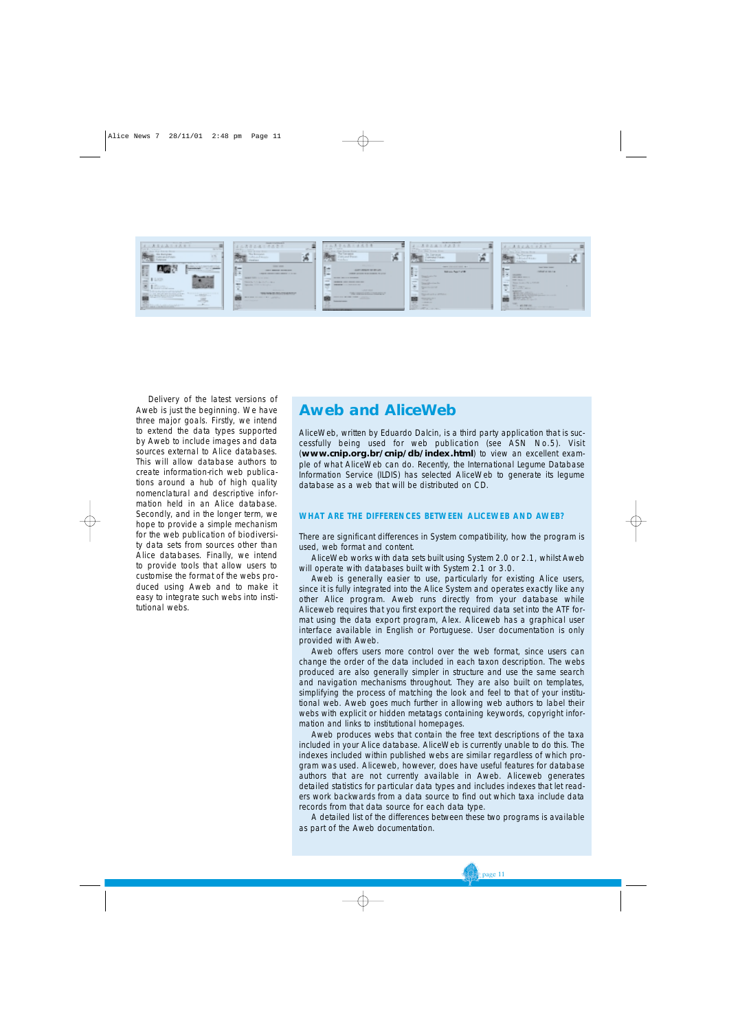

Delivery of the latest versions of Aweb is just the beginning. We have three major goals. Firstly, we intend to extend the data types supported by Aweb to include images and data sources external to Alice databases. This will allow database authors to create information-rich web publications around a hub of high quality nomenclatural and descriptive information held in an Alice database. Secondly, and in the longer term, we hope to provide a simple mechanism for the web publication of biodiversity data sets from sources other than Alice databases. Finally, we intend to provide tools that allow users to customise the format of the webs produced using Aweb and to make it easy to integrate such webs into institutional webs.

#### **Aweb and AliceWeb**

AliceWeb, written by Eduardo Dalcin, is a third party application that is successfully being used for web publication (see ASN No.5). Visit (**www.cnip.org.br/cnip/db/index.html**) to view an excellent example of what AliceWeb can do. Recently, the International Legume Database Information Service (ILDIS) has selected AliceWeb to generate its legume database as a web that will be distributed on CD.

#### **WHAT ARE THE DIFFERENCES BETWEEN ALICEWEB AND AWEB?**

There are significant differences in System compatibility, how the program is used, web format and content.

AliceWeb works with data sets built using System 2.0 or 2.1, whilst Aweb will operate with databases built with System 2.1 or 3.0.

Aweb is generally easier to use, particularly for existing Alice users, since it is fully integrated into the Alice System and operates exactly like any other Alice program. Aweb runs directly from your database while Aliceweb requires that you first export the required data set into the ATF format using the data export program, Alex. Aliceweb has a graphical user interface available in English or Portuguese. User documentation is only provided with Aweb.

Aweb offers users more control over the web format, since users can change the order of the data included in each taxon description. The webs produced are also generally simpler in structure and use the same search and navigation mechanisms throughout. They are also built on templates, simplifying the process of matching the look and feel to that of your institutional web. Aweb goes much further in allowing web authors to label their webs with explicit or hidden metatags containing keywords, copyright information and links to institutional homepages.

Aweb produces webs that contain the free text descriptions of the taxa included in your Alice database. AliceWeb is currently unable to do this. The indexes included within published webs are similar regardless of which program was used. Aliceweb, however, does have useful features for database authors that are not currently available in Aweb. Aliceweb generates detailed statistics for particular data types and includes indexes that let readers work backwards from a data source to find out which taxa include data records from that data source for each data type.

A detailed list of the differences between these two programs is available as part of the Aweb documentation.

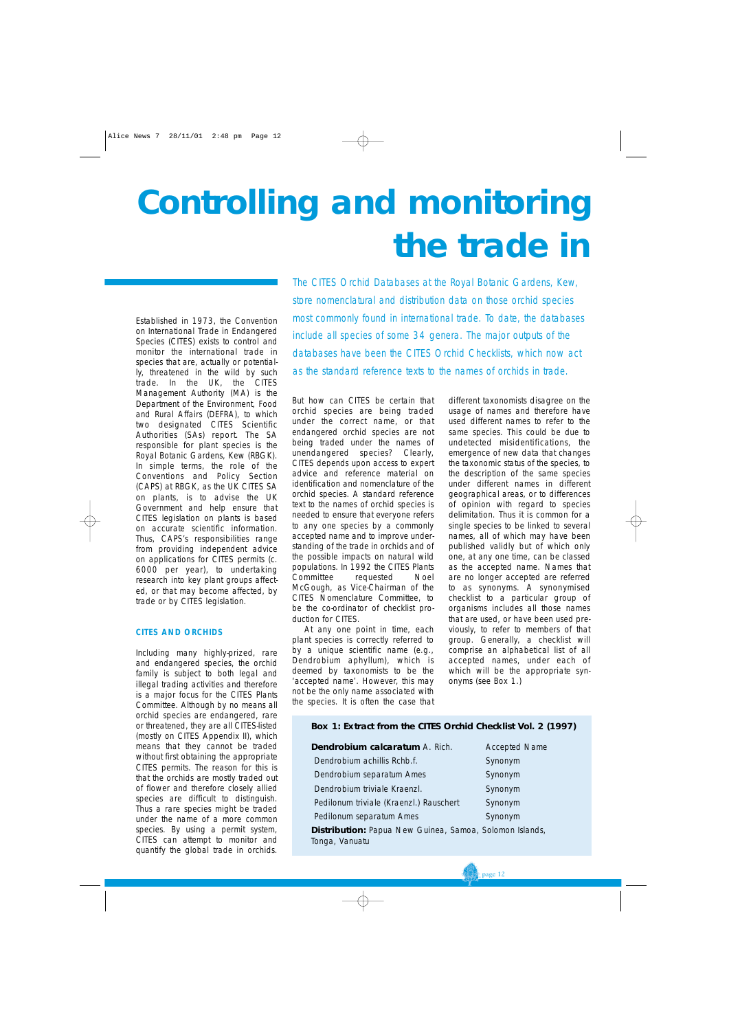## **Controlling and monitoring the trade in**

Established in 1973, the Convention on International Trade in Endangered Species (CITES) exists to control and monitor the international trade in species that are, actually or potentially, threatened in the wild by such trade. In the UK, the CITES Management Authority (MA) is the Department of the Environment, Food and Rural Affairs (DEFRA), to which two designated CITES Scientific Authorities (SAs) report. The SA responsible for plant species is the Royal Botanic Gardens, Kew (RBGK). In simple terms, the role of the Conventions and Policy Section (CAPS) at RBGK, as the UK CITES SA on plants, is to advise the UK Government and help ensure that CITES legislation on plants is based on accurate scientific information. Thus, CAPS's responsibilities range from providing independent advice on applications for CITES permits (c. 6000 per year), to undertaking research into key plant groups affected, or that may become affected, by trade or by CITES legislation.

#### **CITES AND ORCHIDS**

Including many highly-prized, rare and endangered species, the orchid family is subject to both legal and illegal trading activities and therefore is a major focus for the CITES Plants Committee. Although by no means all orchid species are endangered, rare or threatened, they are all CITES-listed (mostly on CITES Appendix II), which means that they cannot be traded without first obtaining the appropriate CITES permits. The reason for this is that the orchids are mostly traded out of flower and therefore closely allied species are difficult to distinguish. Thus a rare species might be traded under the name of a more common species. By using a permit system, CITES can attempt to monitor and quantify the global trade in orchids.

*The CITES Orchid Databases at the Royal Botanic Gardens, Kew, store nomenclatural and distribution data on those orchid species most commonly found in international trade. To date, the databases include all species of some 34 genera. The major outputs of the databases have been the CITES Orchid Checklists, which now act as the standard reference texts to the names of orchids in trade.*

But how can CITES be certain that orchid species are being traded under the correct name, or that endangered orchid species are not being traded under the names of unendangered species? Clearly, CITES depends upon access to expert advice and reference material on identification and nomenclature of the orchid species. A standard reference text to the names of orchid species is needed to ensure that everyone refers to any one species by a commonly accepted name and to improve understanding of the trade in orchids and of the possible impacts on natural wild populations. In 1992 the CITES Plants Committee requested Noel McGough, as Vice-Chairman of the CITES Nomenclature Committee, to be the co-ordinator of checklist production for CITES.

At any one point in time, each plant species is correctly referred to by a unique scientific name (e.g., *Dendrobium aphyllum*), which is deemed by taxonomists to be the 'accepted name'. However, this may not be the only name associated with the species. It is often the case that

different taxonomists disagree on the usage of names and therefore have used different names to refer to the same species. This could be due to undetected misidentifications, the emergence of new data that changes the taxonomic status of the species, to the description of the same species under different names in different geographical areas, or to differences of opinion with regard to species delimitation. Thus it is common for a single species to be linked to several names, all of which may have been published validly but of which only one, at any one time, can be classed as the accepted name. Names that are no longer accepted are referred to as synonyms. A synonymised checklist to a particular group of organisms includes all those names that are used, or have been used previously, to refer to members of that group. Generally, a checklist will comprise an alphabetical list of all accepted names, under each of which will be the appropriate synonyms (see Box 1.)

#### **Box 1: Extract from the CITES Orchid Checklist Vol. 2 (1997)**

**Dendrobium calcaratum** A. Rich. Accepted Name **Dendrobium achillis Rchb.f.** Synonym **Dendrobium separatum Ames** Synonym **Dendrobium triviale Kraenzl.** Synonym Pedilonum triviale (Kraenzl.) Rauschert Synonym **Pedilonum separatum Ames** Synonym **Distribution:** Papua New Guinea, Samoa, Solomon Islands, Tonga, Vanuatu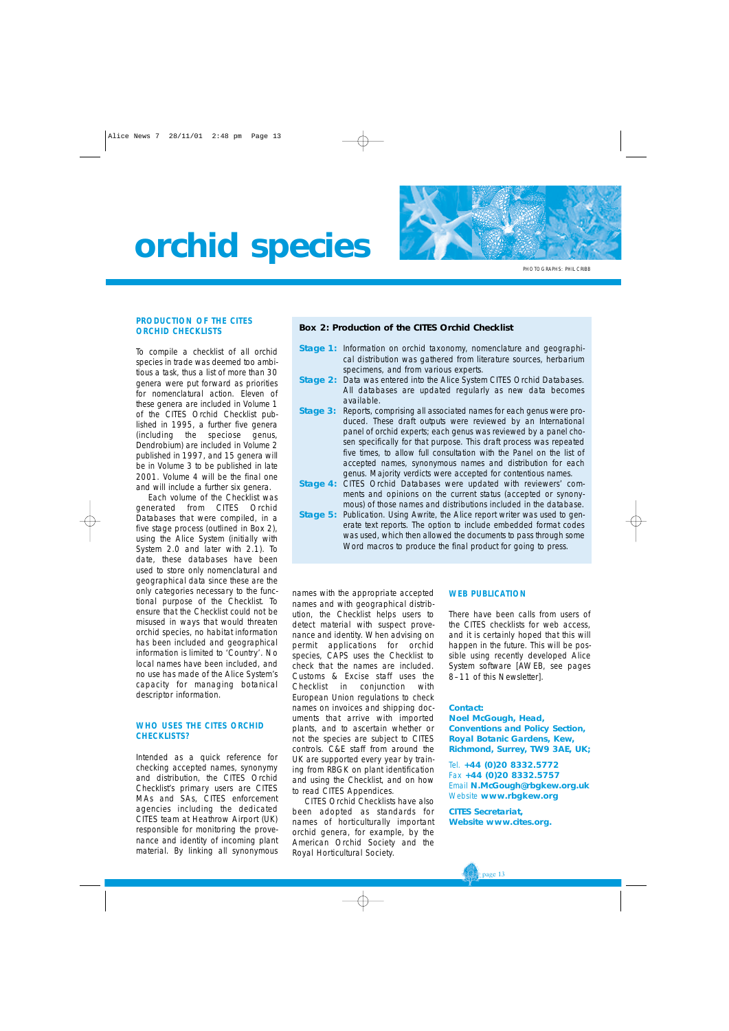### **orchid species**



PHOTOGRAPHS: PHIL CRIBB

#### **PRODUCTION OF THE CITES ORCHID CHECKLISTS**

To compile a checklist of all orchid species in trade was deemed too ambitious a task, thus a list of more than 30 genera were put forward as priorities for nomenclatural action. Eleven of these genera are included in Volume 1 of the CITES Orchid Checklist published in 1995, a further five genera (including the speciose genus, *Dendrobium*) are included in Volume 2 published in 1997, and 15 genera will be in Volume 3 to be published in late 2001. Volume 4 will be the final one and will include a further six genera.

Each volume of the Checklist was generated from CITES Orchid Databases that were compiled, in a five stage process (outlined in Box 2), using the Alice System (initially with System 2.0 and later with 2.1). To date, these databases have been used to store only nomenclatural and geographical data since these are the only categories necessary to the functional purpose of the Checklist. To ensure that the Checklist could not be misused in ways that would threaten orchid species, no habitat information has been included and geographical information is limited to 'Country'. No local names have been included, and no use has made of the Alice System's capacity for managing botanical descriptor information.

#### **WHO USES THE CITES ORCHID CHECKLISTS?**

Intended as a quick reference for checking accepted names, synonymy and distribution, the CITES Orchid Checklist's primary users are CITES MAs and SAs, CITES enforcement agencies including the dedicated CITES team at Heathrow Airport (UK) responsible for monitoring the provenance and identity of incoming plant material. By linking all synonymous

#### **Box 2: Production of the CITES Orchid Checklist**

- **Stage 1:** Information on orchid taxonomy, nomenclature and geographical distribution was gathered from literature sources, herbarium specimens, and from various experts.
- **Stage 2:** Data was entered into the Alice System CITES Orchid Databases. All databases are updated regularly as new data becomes available.
- **Stage 3:** Reports, comprising all associated names for each genus were produced. These draft outputs were reviewed by an International panel of orchid experts; each genus was reviewed by a panel chosen specifically for that purpose. This draft process was repeated five times, to allow full consultation with the Panel on the list of accepted names, synonymous names and distribution for each genus. Majority verdicts were accepted for contentious names.
- **Stage 4:** CITES Orchid Databases were updated with reviewers' comments and opinions on the current status (accepted or synonymous) of those names and distributions included in the database.
- **Stage 5:** Publication. Using Awrite, the Alice report writer was used to generate text reports. The option to include embedded format codes was used, which then allowed the documents to pass through some Word macros to produce the final product for going to press.

names with the appropriate accepted names and with geographical distribution, the Checklist helps users to detect material with suspect provenance and identity. When advising on permit applications for orchid species, CAPS uses the Checklist to check that the names are included. Customs & Excise staff uses the Checklist in conjunction with European Union regulations to check names on invoices and shipping documents that arrive with imported plants, and to ascertain whether or not the species are subject to CITES controls. C&E staff from around the UK are supported every year by training from RBGK on plant identification and using the Checklist, and on how to read CITES Appendices.

CITES Orchid Checklists have also been adopted as standards for names of horticulturally important orchid genera, for example, by the American Orchid Society and the Royal Horticultural Society.

#### **WEB PUBLICATION**

There have been calls from users of the CITES checklists for web access, and it is certainly hoped that this will happen in the future. This will be possible using recently developed Alice System software [AWEB, see pages 8–11 of this Newsletter].

#### **Contact:**

**Noel McGough, Head, Conventions and Policy Section, Royal Botanic Gardens, Kew, Richmond, Surrey, TW9 3AE, UK;** 

Tel. **+44 (0)20 8332.5772**  Fax **+44 (0)20 8332.5757**  Email **N.McGough@rbgkew.org.uk** Website **www.rbgkew.org** 

**CITES Secretariat, Website www.cites.org.**

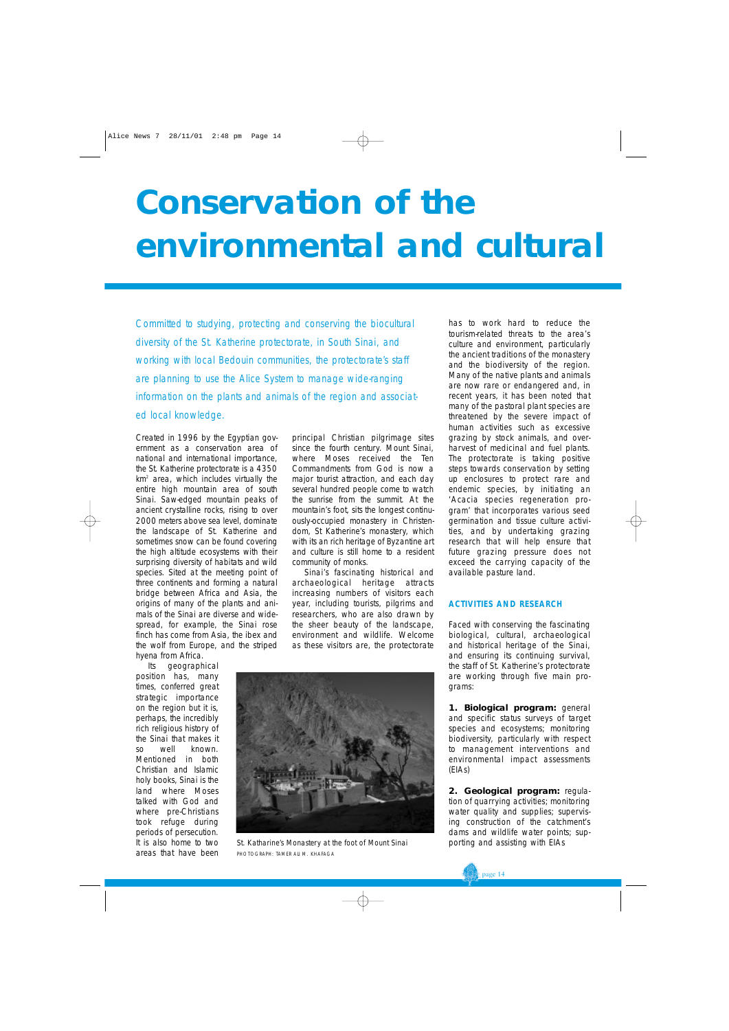## **Conservation of the environmental and cultural**

*Committed to studying, protecting and conserving the biocultural diversity of the St. Katherine protectorate, in South Sinai, and working with local Bedouin communities, the protectorate's staff are planning to use the Alice System to manage wide-ranging information on the plants and animals of the region and associated local knowledge.*

Created in 1996 by the Egyptian government as a conservation area of national and international importance, the St. Katherine protectorate is a 4350 km2 area, which includes virtually the entire high mountain area of south Sinai. Saw-edged mountain peaks of ancient crystalline rocks, rising to over 2000 meters above sea level, dominate the landscape of St. Katherine and sometimes snow can be found covering the high altitude ecosystems with their surprising diversity of habitats and wild species. Sited at the meeting point of three continents and forming a natural bridge between Africa and Asia, the origins of many of the plants and animals of the Sinai are diverse and widespread, for example, the Sinai rose finch has come from Asia, the ibex and the wolf from Europe, and the striped hyena from Africa.

Its geographical position has, many times, conferred great strategic importance on the region but it is, perhaps, the incredibly rich religious history of the Sinai that makes it so well known. Mentioned in both Christian and Islamic holy books, Sinai is the land where Moses talked with God and where pre-Christians took refuge during periods of persecution. It is also home to two areas that have been

principal Christian pilgrimage sites since the fourth century. Mount Sinai, where Moses received the Ten Commandments from God is now a major tourist attraction, and each day several hundred people come to watch the sunrise from the summit. At the mountain's foot, sits the longest continuously-occupied monastery in Christendom, St Katherine's monastery, which with its an rich heritage of Byzantine art and culture is still home to a resident community of monks.

Sinai's fascinating historical and archaeological heritage attracts increasing numbers of visitors each year, including tourists, pilgrims and researchers, who are also drawn by the sheer beauty of the landscape, environment and wildlife. Welcome as these visitors are, the protectorate



*St. Katharine's Monastery at the foot of Mount Sinai* PHOTOGRAPH: TAMER ALI M. KHAFAGA

has to work hard to reduce the tourism-related threats to the area's culture and environment, particularly the ancient traditions of the monastery and the biodiversity of the region. Many of the native plants and animals are now rare or endangered and, in recent years, it has been noted that many of the pastoral plant species are threatened by the severe impact of human activities such as excessive grazing by stock animals, and overharvest of medicinal and fuel plants. The protectorate is taking positive steps towards conservation by setting up enclosures to protect rare and endemic species, by initiating an '*Acacia* species regeneration program' that incorporates various seed germination and tissue culture activities, and by undertaking grazing research that will help ensure that future grazing pressure does not exceed the carrying capacity of the available pasture land.

#### **ACTIVITIES AND RESEARCH**

Faced with conserving the fascinating biological, cultural, archaeological and historical heritage of the Sinai, and ensuring its continuing survival, the staff of St. Katherine's protectorate are working through five main programs:

**1. Biological program:** general and specific status surveys of target species and ecosystems; monitoring biodiversity, particularly with respect to management interventions and environmental impact assessments (EIAs)

**2. Geological program:** regulation of quarrying activities; monitoring water quality and supplies; supervising construction of the catchment's dams and wildlife water points; supporting and assisting with EIAs

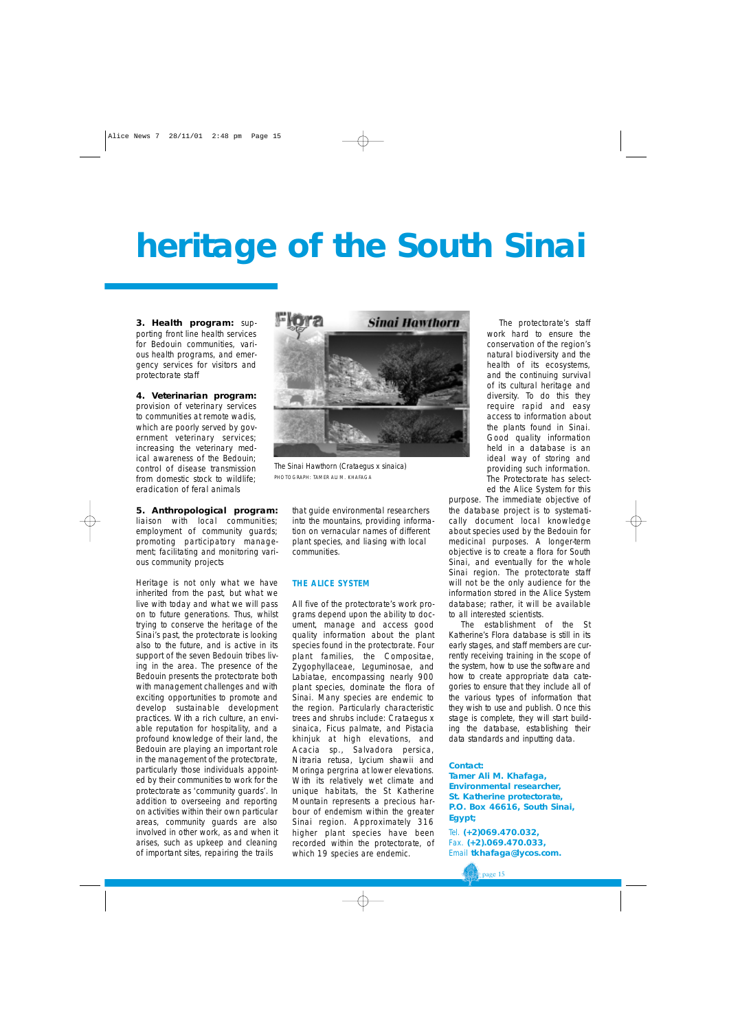## **heritage of the South Sinai**

**3. Health program:** supporting front line health services for Bedouin communities, various health programs, and emergency services for visitors and protectorate staff

**4. Veterinarian program:** provision of veterinary services to communities at remote wadis, which are poorly served by government veterinary services; increasing the veterinary medical awareness of the Bedouin; control of disease transmission from domestic stock to wildlife; eradication of feral animals

#### **5. Anthropological program:**

liaison with local communities; employment of community guards; promoting participatory management; facilitating and monitoring various community projects

Heritage is not only what we have inherited from the past, but what we live with today and what we will pass on to future generations. Thus, whilst trying to conserve the heritage of the Sinai's past, the protectorate is looking also to the future, and is active in its support of the seven Bedouin tribes living in the area. The presence of the Bedouin presents the protectorate both with management challenges and with exciting opportunities to promote and develop sustainable development practices. With a rich culture, an enviable reputation for hospitality, and a profound knowledge of their land, the Bedouin are playing an important role in the management of the protectorate, particularly those individuals appointed by their communities to work for the protectorate as 'community guards'. In addition to overseeing and reporting on activities within their own particular areas, community guards are also involved in other work, as and when it arises, such as upkeep and cleaning of important sites, repairing the trails



*The Sinai Hawthorn (Crataegus x sinaica)* PHOTOGRAPH: TAMER ALI M. KHAFAGA

that guide environmental researchers into the mountains, providing information on vernacular names of different plant species, and liasing with local communities.

#### **THE ALICE SYSTEM**

All five of the protectorate's work programs depend upon the ability to document, manage and access good quality information about the plant species found in the protectorate. Four plant families, the Compositae, Zygophyllaceae, Leguminosae, and Labiatae, encompassing nearly 900 plant species, dominate the flora of Sinai. Many species are endemic to the region. Particularly characteristic trees and shrubs include: *Crataegus x sinaica*, *Ficus palmate,* and *Pistacia khinjuk* at high elevations, and *Acacia sp., Salvadora persica, Nitraria retusa, Lycium shawii* and *Moringa pergrina* at lower elevations. With its relatively wet climate and unique habitats, the St Katherine Mountain represents a precious harbour of endemism within the greater Sinai region. Approximately 316 higher plant species have been recorded within the protectorate, of which 19 species are endemic.

The protectorate's staff work hard to ensure the conservation of the region's natural biodiversity and the health of its ecosystems, and the continuing survival of its cultural heritage and diversity. To do this they require rapid and easy access to information about the plants found in Sinai. Good quality information held in a database is an ideal way of storing and providing such information. The Protectorate has selected the Alice System for this

purpose. The immediate objective of the database project is to systematically document local knowledge about species used by the Bedouin for medicinal purposes. A longer-term objective is to create a flora for South Sinai, and eventually for the whole Sinai region. The protectorate staff will not be the only audience for the information stored in the Alice System database; rather, it will be available to all interested scientists.

The establishment of the St Katherine's Flora database is still in its early stages, and staff members are currently receiving training in the scope of the system, how to use the software and how to create appropriate data categories to ensure that they include all of the various types of information that they wish to use and publish. Once this stage is complete, they will start building the database, establishing their data standards and inputting data.

#### **Contact:**

**Tamer Ali M. Khafaga, Environmental researcher, St. Katherine protectorate, P.O. Box 46616, South Sinai, Egypt;** 

Tel. **(+2)069.470.032,**  Fax. **(+2).069.470.033,**  Email **tkhafaga@lycos.com.**

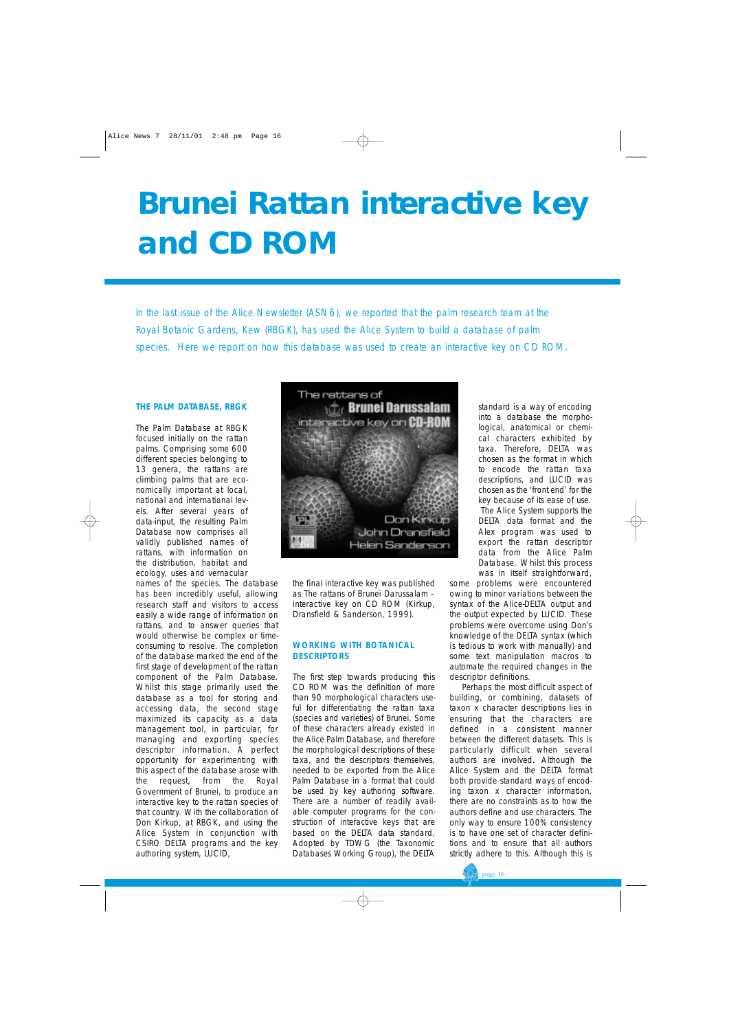### **Brunei Rattan interactive key and CD ROM**

*In the last issue of the Alice Newsletter (ASN6), we reported that the palm research team at the Royal Botanic Gardens, Kew (RBGK), has used the Alice System to build a database of palm species. Here we report on how this database was used to create an interactive key on CD ROM.*

#### **THE PALM DATABASE, RBGK**

The Palm Database at RBGK focused initially on the rattan palms. Comprising some 600 different species belonging to 13 genera, the rattans are climbing palms that are economically important at local, national and international levels. After several years of data-input, the resulting Palm Database now comprises all validly published names of rattans, with information on the distribution, habitat and ecology, uses and vernacular

names of the species. The database has been incredibly useful, allowing research staff and visitors to access easily a wide range of information on rattans, and to answer queries that would otherwise be complex or timeconsuming to resolve. The completion of the database marked the end of the first stage of development of the rattan component of the Palm Database. Whilst this stage primarily used the database as a tool for storing and accessing data, the second stage maximized its capacity as a data management tool, in particular, for managing and exporting species descriptor information. A perfect opportunity for experimenting with this aspect of the database arose with the request, from the Royal Government of Brunei, to produce an interactive key to the rattan species of that country. With the collaboration of Don Kirkup, at RBGK, and using the Alice System in conjunction with CSIRO DELTA programs and the key authoring system, LUCID,



the final interactive key was published as *The rattans of Brunei Darussalam – interactive key on CD ROM* (Kirkup, Dransfield & Sanderson, 1999).

#### **WORKING WITH BOTANICAL DESCRIPTORS**

The first step towards producing this CD ROM was the definition of more than 90 morphological characters useful for differentiating the rattan taxa (species and varieties) of Brunei. Some of these characters already existed in the Alice Palm Database, and therefore the morphological descriptions of these taxa, and the descriptors themselves, needed to be exported from the Alice Palm Database in a format that could be used by key authoring software. There are a number of readily available computer programs for the construction of interactive keys that are based on the DELTA data standard. Adopted by TDWG (the Taxonomic Databases Working Group), the DELTA

standard is a way of encoding into a database the morphological, anatomical or chemical characters exhibited by taxa. Therefore, DELTA was chosen as the format in which to encode the rattan taxa descriptions, and LUCID was chosen as the 'front end' for the key because of its ease of use. The Alice System supports the DELTA data format and the Alex program was used to export the rattan descriptor data from the Alice Palm Database. Whilst this process was in itself straightforward,

some problems were encountered owing to minor variations between the syntax of the Alice-DELTA output and the output expected by LUCID. These problems were overcome using Don's knowledge of the DELTA syntax (which is tedious to work with manually) and some text manipulation macros to automate the required changes in the descriptor definitions.

Perhaps the most difficult aspect of building, or combining, datasets of *taxon x character* descriptions lies in ensuring that the characters are defined in a consistent manner between the different datasets. This is particularly difficult when several authors are involved. Although the Alice System and the DELTA format both provide standard ways of encoding *taxon x character* information, there are no constraints as to how the authors define and use characters. The only way to ensure 100% consistency is to have one set of character definitions and to ensure that all authors strictly adhere to this. Although this is

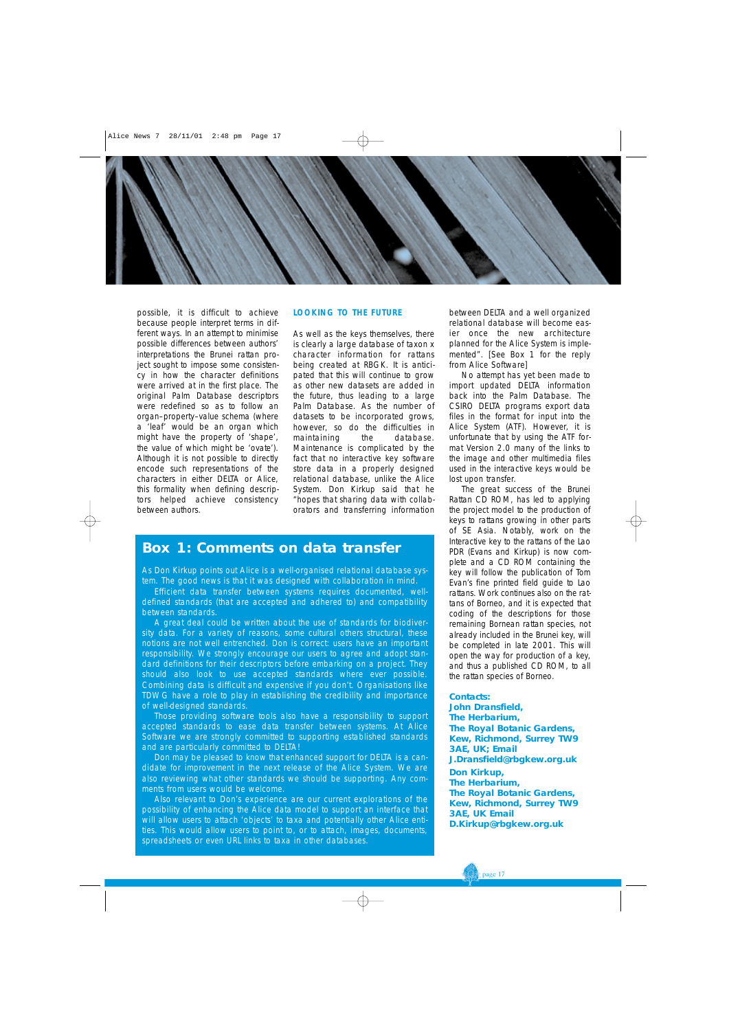

possible, it is difficult to achieve because people interpret terms in different ways. In an attempt to minimise possible differences between authors' interpretations the Brunei rattan project sought to impose some consistency in how the character definitions were arrived at in the first place. The original Palm Database descriptors were redefined so as to follow an *organ–property–value* schema (where a 'leaf' would be an organ which might have the property of 'shape', the value of which might be 'ovate'). Although it is not possible to directly encode such representations of the characters in either DELTA or Alice, this formality when defining descriptors helped achieve consistency between authors.

#### **LOOKING TO THE FUTURE**

As well as the keys themselves, there is clearly a large database of *taxon x character* information for rattans being created at RBGK. It is anticipated that this will continue to grow as other new datasets are added in the future, thus leading to a large Palm Database. As the number of datasets to be incorporated grows, however, so do the difficulties in maintaining the database. Maintenance is complicated by the fact that no interactive key software store data in a properly designed relational database, unlike the Alice System. Don Kirkup said that he "hopes that sharing data with collaborators and transferring information

#### **Box 1: Comments on data transfer**

As Don Kirkup points out Alice is a well-organised relational database system. The good news is that it was designed with collaboration in mind.

Efficient data transfer between systems requires documented, welldefined standards (that are accepted and adhered to) and compatibility between standards.

A great deal could be written about the use of standards for biodiversity data. For a variety of reasons, some cultural others structural, these notions are not well entrenched. Don is correct: users have an important responsibility. We strongly encourage our users to agree and adopt standard definitions for their descriptors before embarking on a project. They should also look to use accepted standards where ever possible. Combining data is difficult and expensive if you don't. Organisations like TDWG have a role to play in establishing the credibility and importance of well-designed standards.

Those providing software tools also have a responsibility to support accepted standards to ease data transfer between systems. At Alice Software we are strongly committed to supporting established standards and are particularly committed to DELTA!

Don may be pleased to know that enhanced support for DELTA is a candidate for improvement in the next release of the Alice System. We are also reviewing what other standards we should be supporting. Any comments from users would be welcome.

Also relevant to Don's experience are our current explorations of the possibility of enhancing the Alice data model to support an interface that will allow users to attach 'objects' to taxa and potentially other Alice entities. This would allow users to point to, or to attach, images, documents, spreadsheets or even URL links to taxa in other databases.

between DELTA and a well organized relational database will become easier once the new architecture planned for the Alice System is implemented". [See Box 1 for the reply from Alice Software]

No attempt has yet been made to import updated DELTA information back into the Palm Database. The CSIRO DELTA programs export data files in the format for input into the Alice System (ATF). However, it is unfortunate that by using the ATF format Version 2.0 many of the links to the image and other multimedia files used in the interactive keys would be lost upon transfer.

The great success of the Brunei Rattan CD ROM, has led to applying the project model to the production of keys to rattans growing in other parts of SE Asia. Notably, work on the *Interactive key to the rattans of the Lao PDR* (Evans and Kirkup) is now complete and a CD ROM containing the key will follow the publication of Tom Evan's fine printed field guide to Lao rattans. Work continues also on the rattans of Borneo, and it is expected that coding of the descriptions for those remaining Bornean rattan species, not already included in the Brunei key, will be completed in late 2001. This will open the way for production of a key, and thus a published CD ROM, to all the rattan species of Borneo.

#### **Contacts:**

**John Dransfield, The Herbarium, The Royal Botanic Gardens, Kew, Richmond, Surrey TW9 3AE, UK; Email J.Dransfield@rbgkew.org.uk Don Kirkup, The Herbarium, The Royal Botanic Gardens, Kew, Richmond, Surrey TW9 3AE, UK Email D.Kirkup@rbgkew.org.uk**

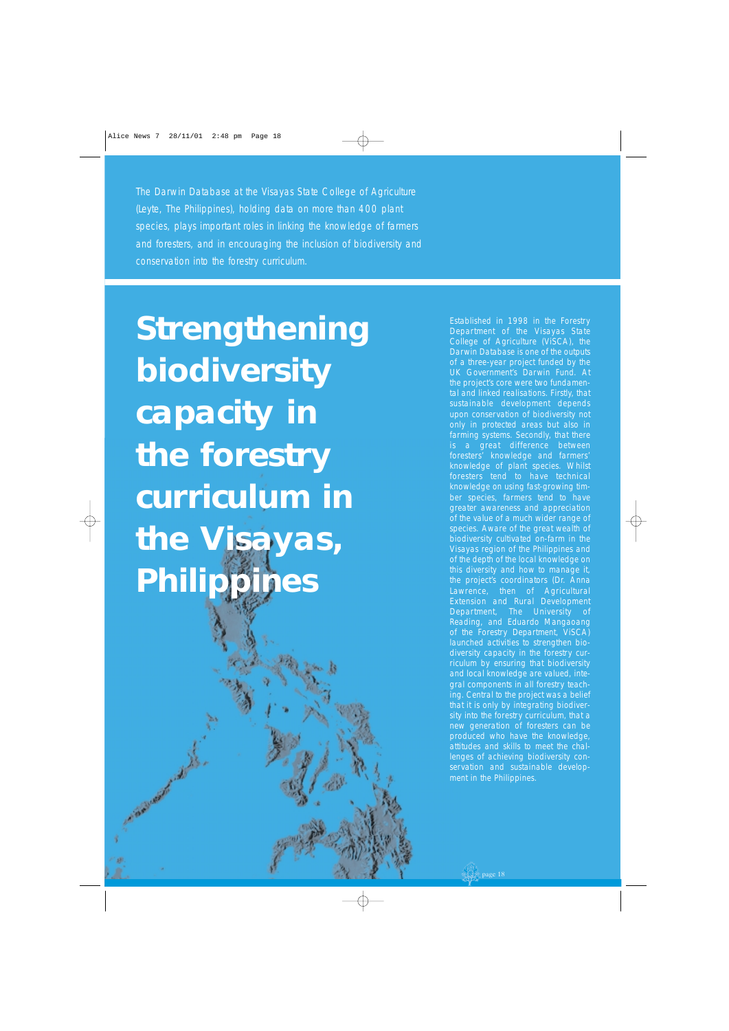*The Darwin Database at the Visayas State College of Agriculture (Leyte, The Philippines), holding data on more than 400 plant species, plays important roles in linking the knowledge of farmers and foresters, and in encouraging the inclusion of biodiversity and conservation into the forestry curriculum.* 

**Strengthening biodiversity capacity in the forestry curriculum in the Visayas, Philippines**

ANTONIA AND ANTISCHERA

Established in 1998 in the Forestry Department of the Visayas State College of Agriculture (ViSCA), the Darwin Database is one of the outputs of a three-year project funded by the UK Government's Darwin Fund. At the project's core were two fundamental and linked realisations. Firstly, that sustainable development depends upon conservation of biodiversity not only in protected areas but also in farming systems. Secondly, that there is a great difference between foresters' knowledge and farmers' knowledge of plant species. Whilst foresters tend to have technical knowledge on using fast-growing timber species, farmers tend to have greater awareness and appreciation of the value of a much wider range of species. Aware of the great wealth of biodiversity cultivated on-farm in the Visayas region of the Philippines and of the depth of the local knowledge on this diversity and how to manage it, the project's coordinators (Dr. Anna Lawrence, then of Agricultural Extension and Rural Development Department, The University of Reading, and Eduardo Mangaoang of the Forestry Department, ViSCA) launched activities to strengthen biodiversity capacity in the forestry curriculum by ensuring that biodiversity and local knowledge are valued, integral components in all forestry teaching. Central to the project was a belief that it is only by integrating biodiversity into the forestry curriculum, that a new generation of foresters can be produced who have the knowledge, attitudes and skills to meet the challenges of achieving biodiversity conservation and sustainable development in the Philippines.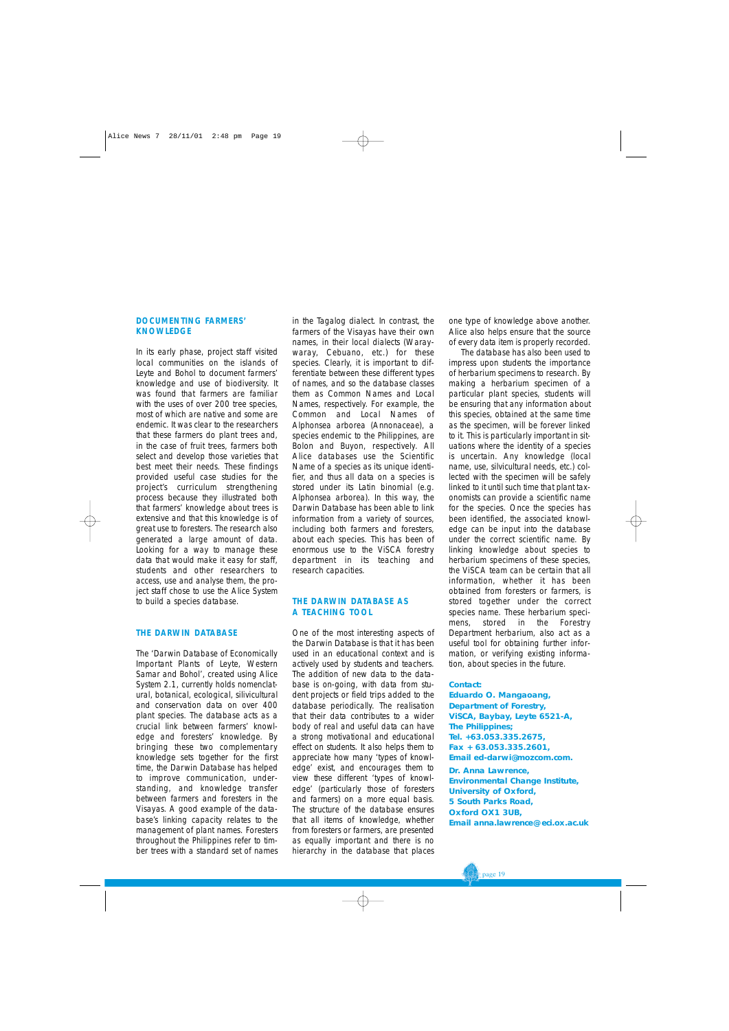#### **DOCUMENTING FARMERS' KNOWLEDGE**

In its early phase, project staff visited local communities on the islands of Leyte and Bohol to document farmers' knowledge and use of biodiversity. It was found that farmers are familiar with the uses of over 200 tree species, most of which are native and some are endemic. It was clear to the researchers that these farmers do plant trees and, in the case of fruit trees, farmers both select and develop those varieties that best meet their needs. These findings provided useful case studies for the project's curriculum strengthening process because they illustrated both that farmers' knowledge about trees is extensive and that this knowledge is of great use to foresters. The research also generated a large amount of data. Looking for a way to manage these data that would make it easy for staff, students and other researchers to access, use and analyse them, the project staff chose to use the Alice System to build a species database.

#### **THE DARWIN DATABASE**

The 'Darwin Database of Economically Important Plants of Leyte, Western Samar and Bohol', created using Alice System 2.1, currently holds nomenclatural, botanical, ecological, silivicultural and conservation data on over 400 plant species. The database acts as a crucial link between farmers' knowledge and foresters' knowledge. By bringing these two complementary knowledge sets together for the first time, the Darwin Database has helped to improve communication, understanding, and knowledge transfer between farmers and foresters in the Visayas. A good example of the database's linking capacity relates to the management of plant names. Foresters throughout the Philippines refer to timber trees with a standard set of names

in the Tagalog dialect. In contrast, the farmers of the Visayas have their own names, in their local dialects (Waraywaray, Cebuano, etc.) for these species. Clearly, it is important to differentiate between these different types of names, and so the database classes them as Common Names and Local Names, respectively. For example, the Common and Local Names of *Alphonsea arborea* (Annonaceae), a species endemic to the Philippines, are *Bolon* and *Buyon*, respectively. All Alice databases use the Scientific Name of a species as its unique identifier, and thus all data on a species is stored under its Latin binomial (e.g. *Alphonsea arborea*). In this way, the Darwin Database has been able to link information from a variety of sources, including both farmers and foresters, about each species. This has been of enormous use to the ViSCA forestry department in its teaching and research capacities.

#### **THE DARWIN DATABASE AS A TEACHING TOOL**

One of the most interesting aspects of the Darwin Database is that it has been used in an educational context and is actively used by students and teachers. The addition of new data to the database is on-going, with data from student projects or field trips added to the database periodically. The realisation that their data contributes to a wider body of real and useful data can have a strong motivational and educational effect on students. It also helps them to appreciate how many 'types of knowledge' exist, and encourages them to view these different 'types of knowledge' (particularly those of foresters and farmers) on a more equal basis. The structure of the database ensures that all items of knowledge, whether from foresters or farmers, are presented as equally important and there is no hierarchy in the database that places

one type of knowledge above another. Alice also helps ensure that the source of every data item is properly recorded.

The database has also been used to impress upon students the importance of herbarium specimens to research. By making a herbarium specimen of a particular plant species, students will be ensuring that any information about this species, obtained at the same time as the specimen, will be forever linked to it. This is particularly important in situations where the identity of a species is uncertain. Any knowledge (local name, use, silvicultural needs, etc.) collected with the specimen will be safely linked to it until such time that plant taxonomists can provide a scientific name for the species. Once the species has been identified, the associated knowledge can be input into the database under the correct scientific name. By linking knowledge about species to herbarium specimens of these species, the ViSCA team can be certain that all information, whether it has been obtained from foresters or farmers, is stored together under the correct species name. These herbarium specimens, stored in the Forestry Department herbarium, also act as a useful tool for obtaining further information, or verifying existing information, about species in the future.

#### **Contact:**

**Eduardo O. Mangaoang, Department of Forestry, ViSCA, Baybay, Leyte 6521-A, The Philippines; Tel. +63.053.335.2675, Fax + 63.053.335.2601, Email ed-darwi@mozcom.com.** 

**Dr. Anna Lawrence, Environmental Change Institute, University of Oxford, 5 South Parks Road, Oxford OX1 3UB, Email anna.lawrence@ eci.ox.ac.uk**